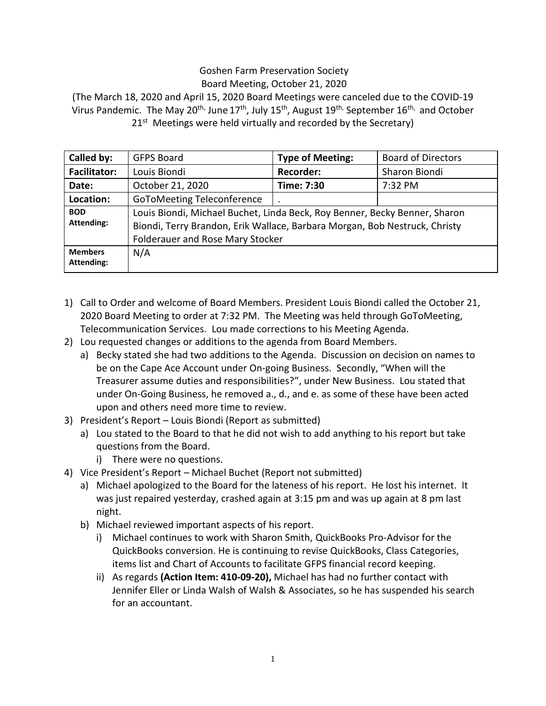## Goshen Farm Preservation Society Board Meeting, October 21, 2020

(The March 18, 2020 and April 15, 2020 Board Meetings were canceled due to the COVID-19 Virus Pandemic. The May 20<sup>th,</sup> June 17<sup>th</sup>, July 15<sup>th</sup>, August 19<sup>th,</sup> September 16<sup>th,</sup> and October 21<sup>st</sup> Meetings were held virtually and recorded by the Secretary)

| Called by:                      | <b>GFPS Board</b>                                                                                                                                                                                   | <b>Type of Meeting:</b> | <b>Board of Directors</b> |
|---------------------------------|-----------------------------------------------------------------------------------------------------------------------------------------------------------------------------------------------------|-------------------------|---------------------------|
| <b>Facilitator:</b>             | Louis Biondi                                                                                                                                                                                        | <b>Recorder:</b>        | Sharon Biondi             |
| Date:                           | October 21, 2020                                                                                                                                                                                    | Time: 7:30              | 7:32 PM                   |
| Location:                       | <b>GoToMeeting Teleconference</b>                                                                                                                                                                   |                         |                           |
| <b>BOD</b><br><b>Attending:</b> | Louis Biondi, Michael Buchet, Linda Beck, Roy Benner, Becky Benner, Sharon<br>Biondi, Terry Brandon, Erik Wallace, Barbara Morgan, Bob Nestruck, Christy<br><b>Folderauer and Rose Mary Stocker</b> |                         |                           |
| <b>Members</b><br>Attending:    | N/A                                                                                                                                                                                                 |                         |                           |

- 1) Call to Order and welcome of Board Members. President Louis Biondi called the October 21, 2020 Board Meeting to order at 7:32 PM. The Meeting was held through GoToMeeting, Telecommunication Services. Lou made corrections to his Meeting Agenda.
- 2) Lou requested changes or additions to the agenda from Board Members.
	- a) Becky stated she had two additions to the Agenda. Discussion on decision on names to be on the Cape Ace Account under On-going Business. Secondly, "When will the Treasurer assume duties and responsibilities?", under New Business. Lou stated that under On-Going Business, he removed a., d., and e. as some of these have been acted upon and others need more time to review.
- 3) President's Report Louis Biondi (Report as submitted)
	- a) Lou stated to the Board to that he did not wish to add anything to his report but take questions from the Board.
		- i) There were no questions.
- 4) Vice President's Report Michael Buchet (Report not submitted)
	- a) Michael apologized to the Board for the lateness of his report. He lost his internet. It was just repaired yesterday, crashed again at 3:15 pm and was up again at 8 pm last night.
	- b) Michael reviewed important aspects of his report.
		- i) Michael continues to work with Sharon Smith, QuickBooks Pro-Advisor for the QuickBooks conversion. He is continuing to revise QuickBooks, Class Categories, items list and Chart of Accounts to facilitate GFPS financial record keeping.
		- ii) As regards **(Action Item: 410-09-20),** Michael has had no further contact with Jennifer Eller or Linda Walsh of Walsh & Associates, so he has suspended his search for an accountant.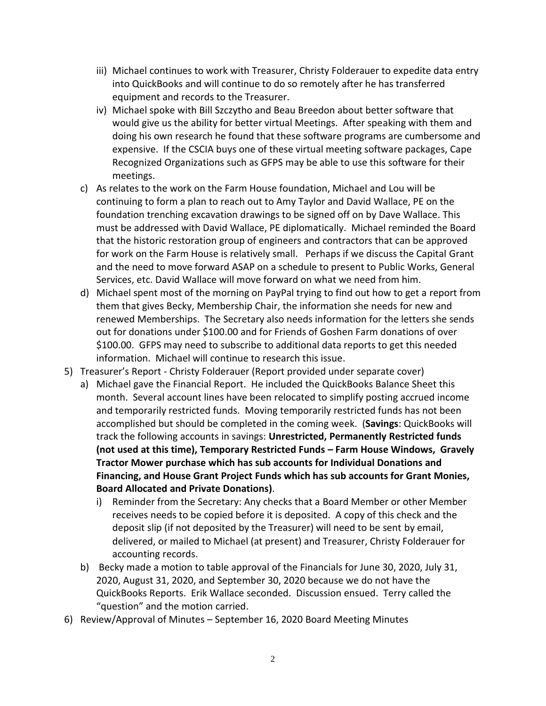- iii) Michael continues to work with Treasurer, Christy Folderauer to expedite data entry into QuickBooks and will continue to do so remotely after he has transferred equipment and records to the Treasurer.
- iv) Michael spoke with Bill Szczytho and Beau Breedon about better software that would give us the ability for better virtual Meetings. After speaking with them and doing his own research he found that these software programs are cumbersome and expensive. If the CSCIA buys one of these virtual meeting software packages, Cape Recognized Organizations such as GFPS may be able to use this software for their meetings.
- c) As relates to the work on the Farm House foundation, Michael and Lou will be continuing to form a plan to reach out to Amy Taylor and David Wallace, PE on the foundation trenching excavation drawings to be signed off on by Dave Wallace. This must be addressed with David Wallace, PE diplomatically. Michael reminded the Board that the historic restoration group of engineers and contractors that can be approved for work on the Farm House is relatively small. Perhaps if we discuss the Capital Grant and the need to move forward ASAP on a schedule to present to Public Works, General Services, etc. David Wallace will move forward on what we need from him.
- d) Michael spent most of the morning on PayPal trying to find out how to get a report from them that gives Becky, Membership Chair, the information she needs for new and renewed Memberships. The Secretary also needs information for the letters she sends out for donations under \$100.00 and for Friends of Goshen Farm donations of over \$100.00. GFPS may need to subscribe to additional data reports to get this needed information. Michael will continue to research this issue.
- 5) Treasurer's Report Christy Folderauer (Report provided under separate cover)
	- a) Michael gave the Financial Report. He included the QuickBooks Balance Sheet this month. Several account lines have been relocated to simplify posting accrued income and temporarily restricted funds. Moving temporarily restricted funds has not been accomplished but should be completed in the coming week. (**Savings**: QuickBooks will track the following accounts in savings: **Unrestricted, Permanently Restricted funds (not used at this time), Temporary Restricted Funds – Farm House Windows, Gravely Tractor Mower purchase which has sub accounts for Individual Donations and Financing, and House Grant Project Funds which has sub accounts for Grant Monies, Board Allocated and Private Donations)**.
		- i) Reminder from the Secretary: Any checks that a Board Member or other Member receives needs to be copied before it is deposited. A copy of this check and the deposit slip (if not deposited by the Treasurer) will need to be sent by email, delivered, or mailed to Michael (at present) and Treasurer, Christy Folderauer for accounting records.
	- b) Becky made a motion to table approval of the Financials for June 30, 2020, July 31, 2020, August 31, 2020, and September 30, 2020 because we do not have the QuickBooks Reports. Erik Wallace seconded. Discussion ensued. Terry called the "question" and the motion carried.
- 6) Review/Approval of Minutes September 16, 2020 Board Meeting Minutes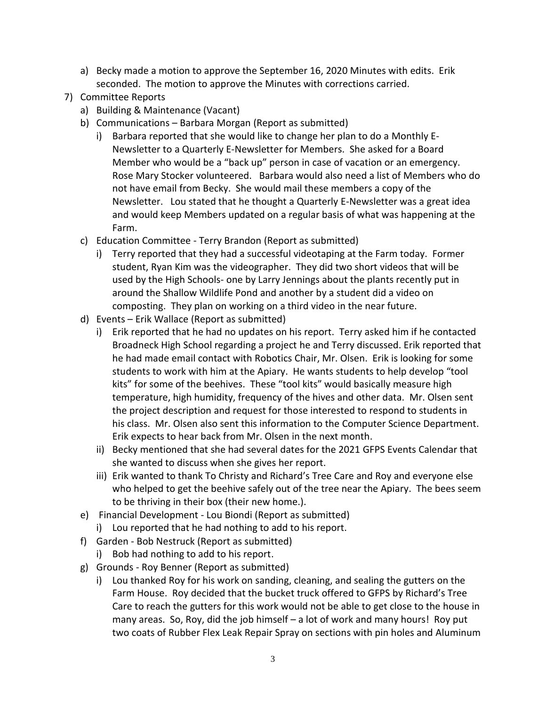- a) Becky made a motion to approve the September 16, 2020 Minutes with edits. Erik seconded. The motion to approve the Minutes with corrections carried.
- 7) Committee Reports
	- a) Building & Maintenance (Vacant)
	- b) Communications Barbara Morgan (Report as submitted)
		- i) Barbara reported that she would like to change her plan to do a Monthly E-Newsletter to a Quarterly E-Newsletter for Members. She asked for a Board Member who would be a "back up" person in case of vacation or an emergency. Rose Mary Stocker volunteered. Barbara would also need a list of Members who do not have email from Becky. She would mail these members a copy of the Newsletter. Lou stated that he thought a Quarterly E-Newsletter was a great idea and would keep Members updated on a regular basis of what was happening at the Farm.
	- c) Education Committee Terry Brandon (Report as submitted)
		- i) Terry reported that they had a successful videotaping at the Farm today. Former student, Ryan Kim was the videographer. They did two short videos that will be used by the High Schools- one by Larry Jennings about the plants recently put in around the Shallow Wildlife Pond and another by a student did a video on composting. They plan on working on a third video in the near future.
	- d) Events Erik Wallace (Report as submitted)
		- i) Erik reported that he had no updates on his report. Terry asked him if he contacted Broadneck High School regarding a project he and Terry discussed. Erik reported that he had made email contact with Robotics Chair, Mr. Olsen. Erik is looking for some students to work with him at the Apiary. He wants students to help develop "tool kits" for some of the beehives. These "tool kits" would basically measure high temperature, high humidity, frequency of the hives and other data. Mr. Olsen sent the project description and request for those interested to respond to students in his class. Mr. Olsen also sent this information to the Computer Science Department. Erik expects to hear back from Mr. Olsen in the next month.
		- ii) Becky mentioned that she had several dates for the 2021 GFPS Events Calendar that she wanted to discuss when she gives her report.
		- iii) Erik wanted to thank To Christy and Richard's Tree Care and Roy and everyone else who helped to get the beehive safely out of the tree near the Apiary. The bees seem to be thriving in their box (their new home.).
	- e) Financial Development Lou Biondi (Report as submitted)
	- i) Lou reported that he had nothing to add to his report.
	- f) Garden Bob Nestruck (Report as submitted)
		- i) Bob had nothing to add to his report.
	- g) Grounds Roy Benner (Report as submitted)
		- i) Lou thanked Roy for his work on sanding, cleaning, and sealing the gutters on the Farm House. Roy decided that the bucket truck offered to GFPS by Richard's Tree Care to reach the gutters for this work would not be able to get close to the house in many areas. So, Roy, did the job himself – a lot of work and many hours! Roy put two coats of Rubber Flex Leak Repair Spray on sections with pin holes and Aluminum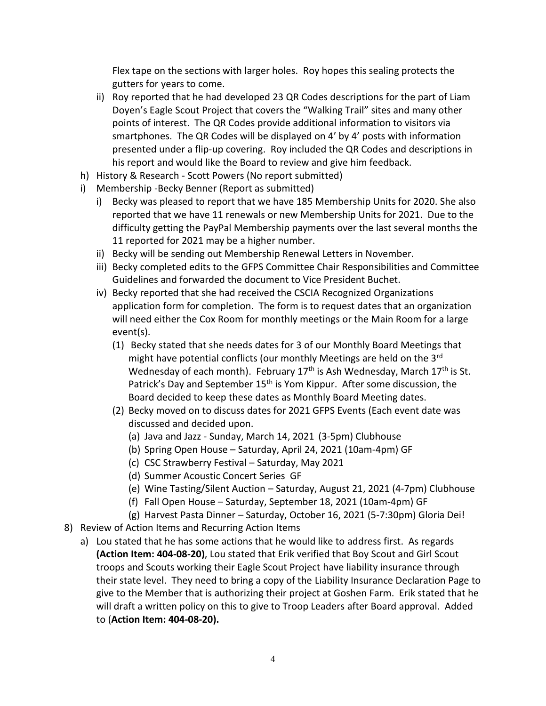Flex tape on the sections with larger holes. Roy hopes this sealing protects the gutters for years to come.

- ii) Roy reported that he had developed 23 QR Codes descriptions for the part of Liam Doyen's Eagle Scout Project that covers the "Walking Trail" sites and many other points of interest. The QR Codes provide additional information to visitors via smartphones. The QR Codes will be displayed on 4' by 4' posts with information presented under a flip-up covering. Roy included the QR Codes and descriptions in his report and would like the Board to review and give him feedback.
- h) History & Research Scott Powers (No report submitted)
- i) Membership -Becky Benner (Report as submitted)
	- i) Becky was pleased to report that we have 185 Membership Units for 2020. She also reported that we have 11 renewals or new Membership Units for 2021. Due to the difficulty getting the PayPal Membership payments over the last several months the 11 reported for 2021 may be a higher number.
	- ii) Becky will be sending out Membership Renewal Letters in November.
	- iii) Becky completed edits to the GFPS Committee Chair Responsibilities and Committee Guidelines and forwarded the document to Vice President Buchet.
	- iv) Becky reported that she had received the CSCIA Recognized Organizations application form for completion. The form is to request dates that an organization will need either the Cox Room for monthly meetings or the Main Room for a large event(s).
		- (1) Becky stated that she needs dates for 3 of our Monthly Board Meetings that might have potential conflicts (our monthly Meetings are held on the 3<sup>rd</sup> Wednesday of each month). February 17<sup>th</sup> is Ash Wednesday, March 17<sup>th</sup> is St. Patrick's Day and September 15<sup>th</sup> is Yom Kippur. After some discussion, the Board decided to keep these dates as Monthly Board Meeting dates.
		- (2) Becky moved on to discuss dates for 2021 GFPS Events (Each event date was discussed and decided upon.
			- (a) Java and Jazz Sunday, March 14, 2021 (3-5pm) Clubhouse
			- (b) Spring Open House Saturday, April 24, 2021 (10am-4pm) GF
			- (c) CSC Strawberry Festival Saturday, May 2021
			- (d) Summer Acoustic Concert Series GF
			- (e) Wine Tasting/Silent Auction Saturday, August 21, 2021 (4-7pm) Clubhouse
			- (f) Fall Open House Saturday, September 18, 2021 (10am-4pm) GF
			- (g) Harvest Pasta Dinner Saturday, October 16, 2021 (5-7:30pm) Gloria Dei!
- 8) Review of Action Items and Recurring Action Items
	- a) Lou stated that he has some actions that he would like to address first. As regards **(Action Item: 404-08-20)**, Lou stated that Erik verified that Boy Scout and Girl Scout troops and Scouts working their Eagle Scout Project have liability insurance through their state level. They need to bring a copy of the Liability Insurance Declaration Page to give to the Member that is authorizing their project at Goshen Farm. Erik stated that he will draft a written policy on this to give to Troop Leaders after Board approval. Added to (**Action Item: 404-08-20).**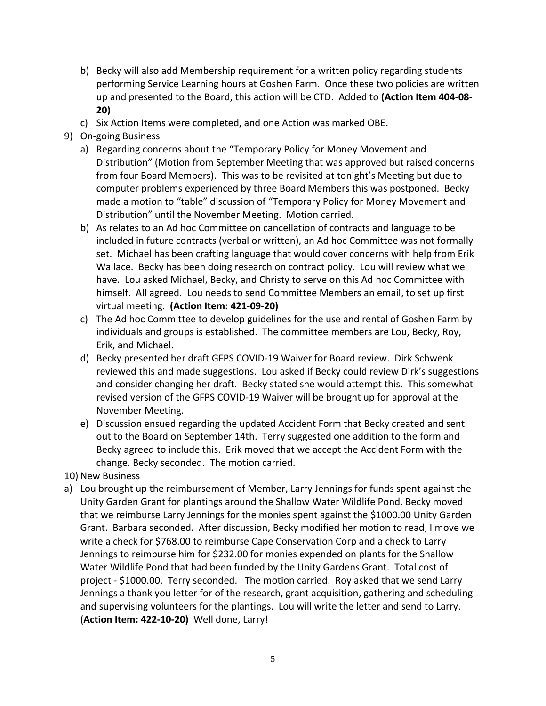- b) Becky will also add Membership requirement for a written policy regarding students performing Service Learning hours at Goshen Farm. Once these two policies are written up and presented to the Board, this action will be CTD. Added to **(Action Item 404-08- 20)**
- c) Six Action Items were completed, and one Action was marked OBE.
- 9) On-going Business
	- a) Regarding concerns about the "Temporary Policy for Money Movement and Distribution" (Motion from September Meeting that was approved but raised concerns from four Board Members). This was to be revisited at tonight's Meeting but due to computer problems experienced by three Board Members this was postponed. Becky made a motion to "table" discussion of "Temporary Policy for Money Movement and Distribution" until the November Meeting. Motion carried.
	- b) As relates to an Ad hoc Committee on cancellation of contracts and language to be included in future contracts (verbal or written), an Ad hoc Committee was not formally set. Michael has been crafting language that would cover concerns with help from Erik Wallace. Becky has been doing research on contract policy. Lou will review what we have. Lou asked Michael, Becky, and Christy to serve on this Ad hoc Committee with himself. All agreed. Lou needs to send Committee Members an email, to set up first virtual meeting. **(Action Item: 421-09-20)**
	- c) The Ad hoc Committee to develop guidelines for the use and rental of Goshen Farm by individuals and groups is established. The committee members are Lou, Becky, Roy, Erik, and Michael.
	- d) Becky presented her draft GFPS COVID-19 Waiver for Board review. Dirk Schwenk reviewed this and made suggestions. Lou asked if Becky could review Dirk's suggestions and consider changing her draft. Becky stated she would attempt this. This somewhat revised version of the GFPS COVID-19 Waiver will be brought up for approval at the November Meeting.
	- e) Discussion ensued regarding the updated Accident Form that Becky created and sent out to the Board on September 14th. Terry suggested one addition to the form and Becky agreed to include this. Erik moved that we accept the Accident Form with the change. Becky seconded. The motion carried.
- 10) New Business
- a) Lou brought up the reimbursement of Member, Larry Jennings for funds spent against the Unity Garden Grant for plantings around the Shallow Water Wildlife Pond. Becky moved that we reimburse Larry Jennings for the monies spent against the \$1000.00 Unity Garden Grant. Barbara seconded. After discussion, Becky modified her motion to read, I move we write a check for \$768.00 to reimburse Cape Conservation Corp and a check to Larry Jennings to reimburse him for \$232.00 for monies expended on plants for the Shallow Water Wildlife Pond that had been funded by the Unity Gardens Grant. Total cost of project - \$1000.00. Terry seconded. The motion carried. Roy asked that we send Larry Jennings a thank you letter for of the research, grant acquisition, gathering and scheduling and supervising volunteers for the plantings. Lou will write the letter and send to Larry. (**Action Item: 422-10-20)** Well done, Larry!